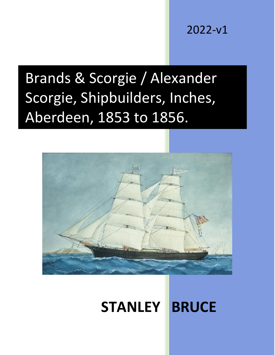2022-v1

# Brands & Scorgie / Alexander Scorgie, Shipbuilders, Inches, Aberdeen, 1853 to 1856.



# **STANLEY BRUCE**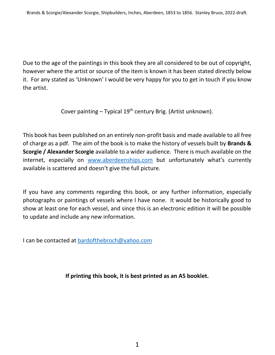Due to the age of the paintings in this book they are all considered to be out of copyright, however where the artist or source of the item is known it has been stated directly below it. For any stated as 'Unknown' I would be very happy for you to get in touch if you know the artist.

Cover painting – Typical  $19<sup>th</sup>$  century Brig. (Artist unknown).

This book has been published on an entirely non-profit basis and made available to all free of charge as a pdf. The aim of the book is to make the history of vessels built by **Brands & Scorgie / Alexander Scorgie** available to a wider audience. There is much available on the internet, especially on [www.aberdeenships.com](http://www.aberdeenships.com/) but unfortunately what's currently available is scattered and doesn't give the full picture.

If you have any comments regarding this book, or any further information, especially photographs or paintings of vessels where I have none. It would be historically good to show at least one for each vessel, and since this is an electronic edition it will be possible to update and include any new information.

I can be contacted at [bardofthebroch@yahoo.com](mailto:bardofthebroch@yahoo.com)

**If printing this book, it is best printed as an A5 booklet.**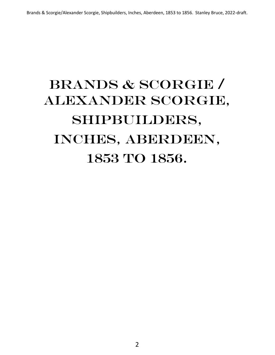# BRANDS & SCORGIE / ALEXANDER SCORGIE, Shipbuilders, INCHES, ABERDEEN, 1853 to 1856.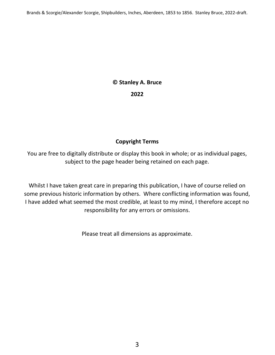# **© Stanley A. Bruce 2022**

#### **Copyright Terms**

You are free to digitally distribute or display this book in whole; or as individual pages, subject to the page header being retained on each page.

Whilst I have taken great care in preparing this publication, I have of course relied on some previous historic information by others. Where conflicting information was found, I have added what seemed the most credible, at least to my mind, I therefore accept no responsibility for any errors or omissions.

Please treat all dimensions as approximate.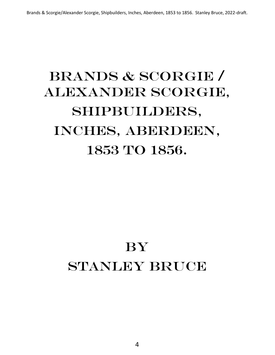# BRANDS & SCORGIE / ALEXANDER SCORGIE, Shipbuilders, INCHES, ABERDEEN, 1853 to 1856.

# **BY** Stanley Bruce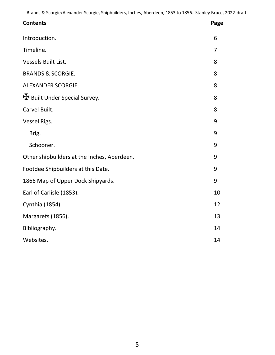| <b>Contents</b>                             | Page           |
|---------------------------------------------|----------------|
| Introduction.                               | 6              |
| Timeline.                                   | $\overline{7}$ |
| Vessels Built List.                         | 8              |
| <b>BRANDS &amp; SCORGIE.</b>                | 8              |
| ALEXANDER SCORGIE.                          | 8              |
| H Built Under Special Survey.               | 8              |
| Carvel Built.                               | 8              |
| Vessel Rigs.                                | 9              |
| Brig.                                       | 9              |
| Schooner.                                   | 9              |
| Other shipbuilders at the Inches, Aberdeen. | 9              |
| Footdee Shipbuilders at this Date.          | 9              |
| 1866 Map of Upper Dock Shipyards.           | 9              |
| Earl of Carlisle (1853).                    | 10             |
| Cynthia (1854).                             | 12             |
| Margarets (1856).                           | 13             |
| Bibliography.                               | 14             |
| Websites.                                   | 14             |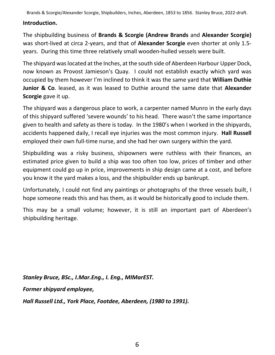#### **Introduction.**

The shipbuilding business of **Brands & Scorgie (Andrew Brands** and **Alexander Scorgie)**  was short-lived at circa 2-years, and that of **Alexander Scorgie** even shorter at only 1.5 years. During this time three relatively small wooden-hulled vessels were built.

The shipyard was located at the Inches, at the south side of Aberdeen Harbour Upper Dock, now known as Provost Jamieson's Quay. I could not establish exactly which yard was occupied by them however I'm inclined to think it was the same yard that **William Duthie Junior & Co**. leased, as it was leased to Duthie around the same date that **Alexander Scorgie** gave it up.

The shipyard was a dangerous place to work, a carpenter named Munro in the early days of this shipyard suffered 'severe wounds' to his head. There wasn't the same importance given to health and safety as there is today. In the 1980's when I worked in the shipyards, accidents happened daily, I recall eye injuries was the most common injury. **Hall Russell** employed their own full-time nurse, and she had her own surgery within the yard.

Shipbuilding was a risky business, shipowners were ruthless with their finances, an estimated price given to build a ship was too often too low, prices of timber and other equipment could go up in price, improvements in ship design came at a cost, and before you know it the yard makes a loss, and the shipbuilder ends up bankrupt.

Unfortunately, I could not find any paintings or photographs of the three vessels built, I hope someone reads this and has them, as it would be historically good to include them.

This may be a small volume; however, it is still an important part of Aberdeen's shipbuilding heritage.

*Stanley Bruce, BSc., I.Mar.Eng., I. Eng., MIMarEST.*

*Former shipyard employee,* 

*Hall Russell Ltd., York Place, Footdee, Aberdeen, (1980 to 1991).*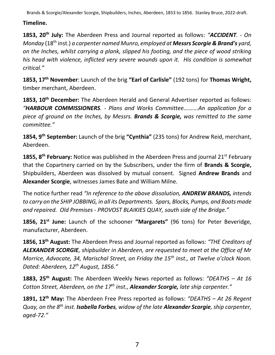### **Timeline.**

**1853, 20th July:** The Aberdeen Press and Journal reported as follows: *"ACCIDENT. - On Monday* (18th inst.) *a carpenter named Munro, employed at Messrs Scorgie & Brand's yard, on the Inches, whilst carrying a plank, slipped his footing, and the piece of wood striking his head with violence, inflicted very severe wounds upon it. His condition is somewhat critical."*

**1853, 17th November**: Launch of the brig **"Earl of Carlisle"** (192 tons) for **Thomas Wright,**  timber merchant, Aberdeen.

**1853, 10th December:** The Aberdeen Herald and General Advertiser reported as follows: *"HARBOUR COMMISSIONERS. - Plans and Works Committee……….An application for a piece of ground on the Inches, by Messrs. Brands & Scorgie, was remitted to the same committee."*

**1854, 9th September:** Launch of the brig **"Cynthia"** (235 tons) for Andrew Reid, merchant, Aberdeen.

1855, 8<sup>th</sup> February: Notice was published in the Aberdeen Press and journal 21<sup>st</sup> February that the Copartnery carried on by the Subscribers, under the firm of **Brands & Scorgie,** Shipbuilders, Aberdeen was dissolved by mutual consent. Signed **Andrew Brands** and **Alexander Scorgie**, witnesses James Bate and William Milne.

The notice further read *"In reference to the above dissolution, ANDREW BRANDS, intends to carry on the SHIP JOBBING, in all its Departments. Spars, Blocks, Pumps, and Boats made and repaired. Old Premises - PROVOST BLAIKIES QUAY, south side of the Bridge."*

**1856, 21st June:** Launch of the schooner **"Margarets"** (96 tons) for Peter Beveridge, manufacturer, Aberdeen.

**1856, 13th August:** The Aberdeen Press and Journal reported as follows: *"THE Creditors of ALEXANDER SCORGIE, shipbuilder in Aberdeen, are requested to meet at the Office of Mr Morrice, Advocate, 34, Marischal Street, on Friday the 15th inst., at Twelve o'clock Noon. Dated: Aberdeen, 12th August, 1856."*

**1883, 25th August:** The Aberdeen Weekly News reported as follows: *"DEATHS – At 16 Cotton Street, Aberdeen, on the 17th inst., Alexander Scorgie, late ship carpenter."*

**1891, 12th May:** The Aberdeen Free Press reported as follows: *"DEATHS – At 26 Regent Quay, on the 8th inst. Isabella Forbes, widow of the late Alexander Scorgie, ship carpenter, aged-72."*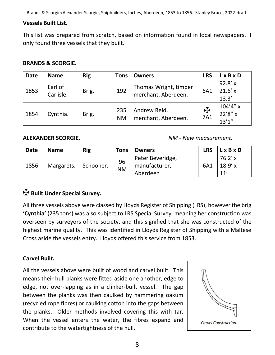#### **Vessels Built List.**

This list was prepared from scratch, based on information found in local newspapers. I only found three vessels that they built.

#### **BRANDS & SCORGIE.**

| <b>Date</b> | <b>Name</b>          | <b>Rig</b> | Tons             | <b>Owners</b>                                | <b>LRS</b>         | $L \times B \times D$            |
|-------------|----------------------|------------|------------------|----------------------------------------------|--------------------|----------------------------------|
| 1853        | Earl of<br>Carlisle. | Brig.      | 192              | Thomas Wright, timber<br>merchant, Aberdeen. | 6A1                | 92.8'x<br>$21.6'$ x<br>13.3'     |
| 1854        | Cynthia.             | Brig.      | 235<br><b>NM</b> | Andrew Reid,<br>merchant, Aberdeen.          | $\mathbf F$<br>7A1 | $104'4''$ x<br>22'8" x<br>13'1'' |

**ALEXANDER SCORGIE.** *NM - New measurement.*

| <b>Date</b> | <b>Name</b>            | <b>Rig</b> | Tons            | <b>Owners</b>                                 | LRS | <b>LxBxD</b>             |
|-------------|------------------------|------------|-----------------|-----------------------------------------------|-----|--------------------------|
| 1856        | Margarets.   Schooner. |            | 96<br><b>NM</b> | Peter Beveridge,<br>manufacturer,<br>Aberdeen | 6A1 | 76.2' x<br>18.9'x<br>11' |

### **Built Under Special Survey.**

All three vessels above were classed by Lloyds Register of Shipping (LRS), however the brig **'Cynthia'** (235 tons) was also subject to LRS Special Survey, meaning her construction was overseen by surveyors of the society, and this signified that she was constructed of the highest marine quality. This was identified in Lloyds Register of Shipping with a Maltese Cross aside the vessels entry. Lloyds offered this service from 1853.

#### **Carvel Built.**

All the vessels above were built of wood and carvel built. This means their hull planks were fitted aside one another, edge to edge, not over-lapping as in a clinker-built vessel. The gap between the planks was then caulked by hammering oakum (recycled rope fibres) or caulking cotton into the gaps between the planks. Older methods involved covering this with tar. When the vessel enters the water, the fibres expand and contribute to the watertightness of the hull.

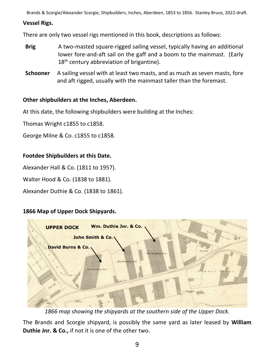#### **Vessel Rigs.**

There are only two vessel rigs mentioned in this book, descriptions as follows:

- **Brig** A two-masted square-rigged sailing vessel, typically having an additional lower fore-and-aft sail on the gaff and a boom to the mainmast. (Early  $18<sup>th</sup>$  century abbreviation of brigantine).
- **Schooner** A sailing vessel with at least two masts, and as much as seven masts, fore and aft rigged, usually with the mainmast taller than the foremast.

#### **Other shipbuilders at the Inches, Aberdeen.**

At this date, the following shipbuilders were building at the Inches:

Thomas Wright c1855 to c1858.

George Milne & Co. c1855 to c1858.

#### **Footdee Shipbuilders at this Date.**

Alexander Hall & Co. (1811 to 1957).

Walter Hood & Co. (1838 to 1881).

Alexander Duthie & Co. (1838 to 1861).

#### **1866 Map of Upper Dock Shipyards.**



*1866 map showing the shipyards at the southern side of the Upper Dock.*

The Brands and Scorgie shipyard, is possibly the same yard as later leased by **William Duthie Jnr. & Co.,** if not it is one of the other two.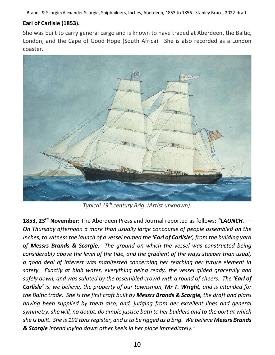### **Earl of Carlisle (1853).**

She was built to carry general cargo and is known to have traded at Aberdeen, the Baltic, London, and the Cape of Good Hope (South Africa). She is also recorded as a London coaster.



*Typical 19th century Brig. (Artist unknown).*

**1853, 23rd November:** The Aberdeen Press and Journal reported as follows: *"LAUNCH. — On Thursday afternoon a more than usually large concourse of people assembled on the Inches, to witness the launch of a vessel named the 'Earl of Carlisle', from the building yard of Messrs Brands & Scorgie. The ground on which the vessel was constructed being considerably above the level of the tide, and the gradient of the ways steeper than usual, a good deal of interest was manifested concerning her reaching her future element in safety. Exactly at high water, everything being ready, the vessel glided gracefully and safely down, and was saluted by the assembled crowd with a round of cheers. The 'Earl of Carlisle' is, we believe, the property of our townsman, Mr T. Wright, and is intended for the Baltic trade. She is the first craft built by Messrs Brands & Scorgie, the draft and plans having been supplied by them also, and, judging from her excellent lines and general symmetry, she will, no doubt, do ample justice both to her builders and to the port at which she is built. She is 192 tons register, and is to be rigged as a brig. We believe Messrs Brands & Scorgie intend laying down other keels in her place immediately."*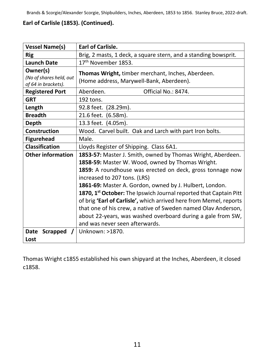### **Earl of Carlisle (1853). (Continued).**

| <b>Vessel Name(s)</b>                                      | <b>Earl of Carlisle.</b>                                                                                                                                                                                                                                                                                                                                                                                                                                                                                                                                                             |  |
|------------------------------------------------------------|--------------------------------------------------------------------------------------------------------------------------------------------------------------------------------------------------------------------------------------------------------------------------------------------------------------------------------------------------------------------------------------------------------------------------------------------------------------------------------------------------------------------------------------------------------------------------------------|--|
| <b>Rig</b>                                                 | Brig, 2 masts, 1 deck, a square stern, and a standing bowsprit.                                                                                                                                                                                                                                                                                                                                                                                                                                                                                                                      |  |
| <b>Launch Date</b>                                         | 17 <sup>th</sup> November 1853.                                                                                                                                                                                                                                                                                                                                                                                                                                                                                                                                                      |  |
| Owner(s)<br>(No of shares held, out<br>of 64 in brackets). | Thomas Wright, timber merchant, Inches, Aberdeen.<br>(Home address, Marywell-Bank, Aberdeen).                                                                                                                                                                                                                                                                                                                                                                                                                                                                                        |  |
| <b>Registered Port</b>                                     | Aberdeen.<br>Official No.: 8474.                                                                                                                                                                                                                                                                                                                                                                                                                                                                                                                                                     |  |
| <b>GRT</b>                                                 | 192 tons.                                                                                                                                                                                                                                                                                                                                                                                                                                                                                                                                                                            |  |
| Length                                                     | 92.8 feet. (28.29m).                                                                                                                                                                                                                                                                                                                                                                                                                                                                                                                                                                 |  |
| <b>Breadth</b>                                             | 21.6 feet. (6.58m).                                                                                                                                                                                                                                                                                                                                                                                                                                                                                                                                                                  |  |
| Depth                                                      | 13.3 feet. (4.05m).                                                                                                                                                                                                                                                                                                                                                                                                                                                                                                                                                                  |  |
| <b>Construction</b>                                        | Wood. Carvel built. Oak and Larch with part Iron bolts.                                                                                                                                                                                                                                                                                                                                                                                                                                                                                                                              |  |
| <b>Figurehead</b>                                          | Male.                                                                                                                                                                                                                                                                                                                                                                                                                                                                                                                                                                                |  |
| <b>Classification</b>                                      | Lloyds Register of Shipping. Class 6A1.                                                                                                                                                                                                                                                                                                                                                                                                                                                                                                                                              |  |
| <b>Other information</b>                                   | 1853-57: Master J. Smith, owned by Thomas Wright, Aberdeen.<br>1858-59: Master W. Wood, owned by Thomas Wright.<br>1859: A roundhouse was erected on deck, gross tonnage now<br>increased to 207 tons. (LRS)<br>1861-69: Master A. Gordon, owned by J. Hulbert, London.<br>1870, 1st October: The Ipswich Journal reported that Captain Pitt<br>of brig 'Earl of Carlisle', which arrived here from Memel, reports<br>that one of his crew, a native of Sweden named Olav Anderson,<br>about 22-years, was washed overboard during a gale from SW,<br>and was never seen afterwards. |  |
| Date<br><b>Scrapped</b><br>Lost                            | Unknown: >1870.                                                                                                                                                                                                                                                                                                                                                                                                                                                                                                                                                                      |  |

Thomas Wright c1855 established his own shipyard at the Inches, Aberdeen, it closed c1858.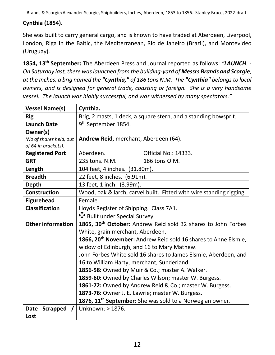### **Cynthia (1854).**

She was built to carry general cargo, and is known to have traded at Aberdeen, Liverpool, London, Riga in the Baltic, the Mediterranean, Rio de Janeiro (Brazil), and Montevideo (Uruguay).

**1854, 13th September:** The Aberdeen Press and Journal reported as follows: *"LAUNCH. - On Saturday last, there was launched from the building-yard of Messrs Brands and Scorgie, at the Inches, a brig named the "Cynthia," of 186 tons N.M. The "Cynthia" belongs to local owners, and is designed for general trade, coasting or foreign. She is a very handsome vessel. The launch was highly successful, and was witnessed by many spectators."*

| <b>Vessel Name(s)</b>                                      | Cynthia.                                                                                                                  |  |  |
|------------------------------------------------------------|---------------------------------------------------------------------------------------------------------------------------|--|--|
| <b>Rig</b>                                                 | Brig, 2 masts, 1 deck, a square stern, and a standing bowsprit.                                                           |  |  |
| <b>Launch Date</b>                                         | 9 <sup>th</sup> September 1854.                                                                                           |  |  |
| Owner(s)<br>(No of shares held, out<br>of 64 in brackets). | Andrew Reid, merchant, Aberdeen (64).                                                                                     |  |  |
| <b>Registered Port</b>                                     | Aberdeen.<br><b>Official No.: 14333.</b>                                                                                  |  |  |
| <b>GRT</b>                                                 | 186 tons O.M.<br>235 tons. N.M.                                                                                           |  |  |
| Length                                                     | 104 feet, 4 inches. (31.80m).                                                                                             |  |  |
| <b>Breadth</b>                                             | 22 feet, 8 inches. (6.91m).                                                                                               |  |  |
| <b>Depth</b>                                               | 13 feet, 1 inch. (3.99m).                                                                                                 |  |  |
| <b>Construction</b>                                        | Wood, oak & larch, carvel built. Fitted with wire standing rigging.                                                       |  |  |
| <b>Figurehead</b>                                          | Female.                                                                                                                   |  |  |
| <b>Classification</b>                                      | Lloyds Register of Shipping. Class 7A1.                                                                                   |  |  |
|                                                            | H Built under Special Survey.                                                                                             |  |  |
| <b>Other information</b>                                   | 1865, 30 <sup>th</sup> October: Andrew Reid sold 32 shares to John Forbes                                                 |  |  |
|                                                            | White, grain merchant, Aberdeen.                                                                                          |  |  |
|                                                            | 1866, 20 <sup>th</sup> November: Andrew Reid sold 16 shares to Anne Elsmie,<br>widow of Edinburgh, and 16 to Mary Mathew. |  |  |
|                                                            | John Forbes White sold 16 shares to James Elsmie, Aberdeen, and                                                           |  |  |
|                                                            | 16 to William Harty, merchant, Sunderland.                                                                                |  |  |
|                                                            | 1856-58: Owned by Muir & Co.; master A. Walker.                                                                           |  |  |
|                                                            | 1859-60: Owned by Charles Wilson; master W. Burgess.                                                                      |  |  |
|                                                            | 1861-72: Owned by Andrew Reid & Co.; master W. Burgess.                                                                   |  |  |
|                                                            | 1873-76: Owner J. E. Lawrie; master W. Burgess.                                                                           |  |  |
|                                                            | 1876, 11 <sup>th</sup> September: She was sold to a Norwegian owner.                                                      |  |  |
| <b>Scrapped</b><br>Date                                    | Unknown: > 1876.                                                                                                          |  |  |
| Lost                                                       |                                                                                                                           |  |  |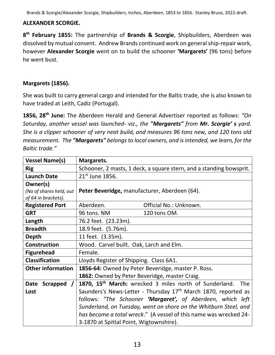#### **ALEXANDER SCORGIE.**

**8 th February 1855:** The partnership of **Brands & Scorgie**, Shipbuilders, Aberdeen was dissolved by mutual consent. Andrew Brands continued work on general ship-repair work, however **Alexander Scorgie** went on to build the schooner **'Margarets'** (96 tons) before he went bust.

#### **Margarets (1856).**

She was built to carry general cargo and intended for the Baltic trade, she is also known to have traded at Leith, Cadiz (Portugal).

**1856, 28th June:** The Aberdeen Herald and General Advertiser reported as follows: *"On Saturday, another vessel was launched- viz., the "Margarets" from Mr. Scorgie' s yard. She is a clipper schooner of very neat build, and measures 96 tons new, and 120 tons old measurement. The "Margarets" belongs to local owners, and is intended, we learn, for the Baltic trade."*

| <b>Vessel Name(s)</b>                          | Margarets.                                                                 |  |
|------------------------------------------------|----------------------------------------------------------------------------|--|
| <b>Rig</b>                                     | Schooner, 2 masts, 1 deck, a square stern, and a standing bowsprit.        |  |
| <b>Launch Date</b>                             | $21^{st}$ June 1856.                                                       |  |
| Owner(s)                                       |                                                                            |  |
| (No of shares held, out<br>of 64 in brackets). | Peter Beveridge, manufacturer, Aberdeen (64).                              |  |
| <b>Registered Port</b>                         | Official No.: Unknown.<br>Aberdeen.                                        |  |
| <b>GRT</b>                                     | 120 tons OM.<br>96 tons. NM                                                |  |
| Length                                         | 76.2 feet. (23.23m).                                                       |  |
| <b>Breadth</b>                                 | 18.9 feet. (5.76m).                                                        |  |
| <b>Depth</b>                                   | 11 feet. (3.35m).                                                          |  |
| <b>Construction</b>                            | Wood. Carvel built. Oak, Larch and Elm.                                    |  |
| <b>Figurehead</b>                              | Female.                                                                    |  |
| <b>Classification</b>                          | Lloyds Register of Shipping. Class 6A1.                                    |  |
| <b>Other information</b>                       | 1856-64: Owned by Peter Beveridge, master P. Ross.                         |  |
|                                                | 1862: Owned by Peter Beveridge, master Craig.                              |  |
| Scrapped<br>Date                               | 1870, 15 <sup>th</sup> March: wrecked 3 miles north of Sunderland.<br>The  |  |
| Lost                                           | Saunders's News-Letter - Thursday 17 <sup>th</sup> March 1870, reported as |  |
|                                                | follows: "The Schooner 'Margaret', of Aberdeen, which left                 |  |
|                                                | Sunderland, on Tuesday, went on shore on the Whitburn Steel, and           |  |
|                                                | has become a total wreck." (A vessel of this name was wrecked 24-          |  |
|                                                | 3-1870 at Spittal Point, Wigtownshire).                                    |  |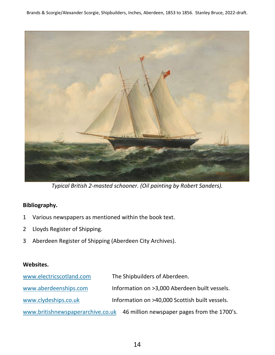

*Typical British 2-masted schooner. (Oil painting by Robert Sanders).*

#### **Bibliography.**

- 1 Various newspapers as mentioned within the book text.
- 2 Lloyds Register of Shipping.
- 3 Aberdeen Register of Shipping (Aberdeen City Archives).

#### **Websites.**

| www.electricscotland.com          | The Shipbuilders of Aberdeen.                  |
|-----------------------------------|------------------------------------------------|
| www.aberdeenships.com             | Information on >3,000 Aberdeen built vessels.  |
| www.clydeships.co.uk              | Information on >40,000 Scottish built vessels. |
| www.britishnewspaperarchive.co.uk | 46 million newspaper pages from the 1700's.    |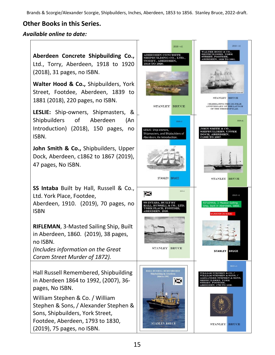### **Other Books in this Series.**

#### *Available online to date:*

**Aberdeen Concrete Shipbuilding Co.,** Ltd., Torry, Aberdeen, 1918 to 1920 (2018), 31 pages, no ISBN. **Walter Hood & Co.,** Shipbuilders, York

Street, Footdee, Aberdeen, 1839 to 1881 (2018), 220 pages, no ISBN.

**LESLIE:** Ship-owners, Shipmasters, & Shipbuilders of Aberdeen (An Introduction) (2018), 150 pages, no ISBN.

**John Smith & Co.,** Shipbuilders, Upper Dock, Aberdeen, c1862 to 1867 (2019), 47 pages, No ISBN.

**SS Intaba** Built by Hall, Russell & Co., Ltd. York Place, Footdee, Aberdeen, 1910. (2019), 70 pages, no ISBN

**RIFLEMAN**, 3-Masted Sailing Ship, Built in Aberdeen, 1860. (2019), 38 pages, no ISBN.

*(Includes information on the Great Coram Street Murder of 1872).*

Hall Russell Remembered, Shipbuilding in Aberdeen 1864 to 1992, (2007), 36 pages, No ISBN.

William Stephen & Co. / William Stephen & Sons, / Alexander Stephen & Sons, Shipbuilders, York Street, Footdee, Aberdeen, 1793 to 1830, (2019), 75 pages, no ISBN.

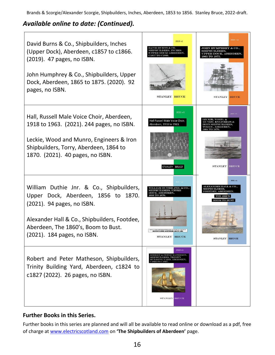# *Available online to date: (Continued).*



#### **Further Books in this Series.**

Further books in this series are planned and will all be available to read online or download as a pdf, free of charge at [www.electricscotland.com](http://www.electricscotland.com/) on **'The Shipbuilders of Aberdeen'** page.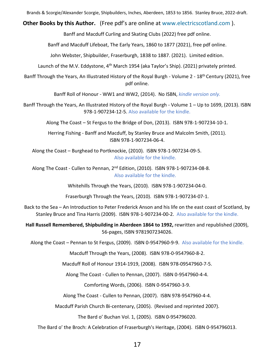**Other Books by this Author.** (Free pdf's are online at [www.electricscotland.com](http://www.electricscotland.com/) ).

Banff and Macduff Curling and Skating Clubs (2022) free pdf online.

Banff and Macduff Lifeboat, The Early Years, 1860 to 1877 (2021), free pdf online.

John Webster, Shipbuilder, Fraserburgh, 1838 to 1887. (2021). Limited edition.

Launch of the M.V. Eddystone,  $4<sup>th</sup>$  March 1954 (aka Taylor's Ship). (2021) privately printed.

Banff Through the Years, An Illustrated History of the Royal Burgh - Volume 2 - 18<sup>th</sup> Century (2021), free pdf online.

Banff Roll of Honour - WW1 and WW2, (2014). No ISBN, *kindle version only.*

Banff Through the Years, An Illustrated History of the Royal Burgh - Volume 1 – Up to 1699, (2013). ISBN 978-1-907234-12-5. Also available for the kindle.

Along The Coast – St Fergus to the Bridge of Don, (2013). ISBN 978-1-907234-10-1.

Herring Fishing - Banff and Macduff, by Stanley Bruce and Malcolm Smith, (2011). ISBN 978-1-907234-06-4.

Along the Coast – Burghead to Portknockie, (2010). ISBN 978-1-907234-09-5. Also available for the kindle.

Along The Coast - Cullen to Pennan, 2nd Edition, (2010). ISBN 978-1-907234-08-8. Also available for the kindle.

Whitehills Through the Years, (2010). ISBN 978-1-907234-04-0.

Fraserburgh Through the Years, (2010). ISBN 978-1-907234-07-1.

Back to the Sea – An Introduction to Peter Frederick Anson and his life on the east coast of Scotland, by Stanley Bruce and Tina Harris (2009). ISBN 978-1-907234-00-2. Also available for the kindle.

**Hall Russell Remembered, Shipbuilding in Aberdeen 1864 to 1992,** rewritten and republished (2009), 56-pages, ISBN 9781907234026.

Along the Coast – Pennan to St Fergus, (2009). ISBN 0-9547960-9-9. Also available for the kindle.

Macduff Through the Years, (2008). ISBN 978-0-9547960-8-2.

Macduff Roll of Honour 1914-1919, (2008). ISBN 978-09547960-7-5.

Along The Coast - Cullen to Pennan, (2007). ISBN 0-9547960-4-4.

Comforting Words, (2006). ISBN 0-9547960-3-9.

Along The Coast - Cullen to Pennan, (2007). ISBN 978-9547960-4-4.

Macduff Parish Church Bi-centenary, (2005). (Revised and reprinted 2007).

The Bard o' Buchan Vol. 1, (2005). ISBN 0-954796020.

The Bard o' the Broch: A Celebration of Fraserburgh's Heritage, (2004). ISBN 0-954796013.